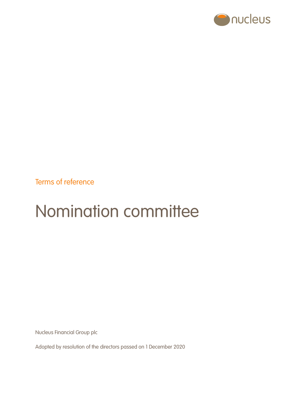

Terms of reference

# Nomination committee

Nucleus Financial Group plc

Adopted by resolution of the directors passed on 1 December 2020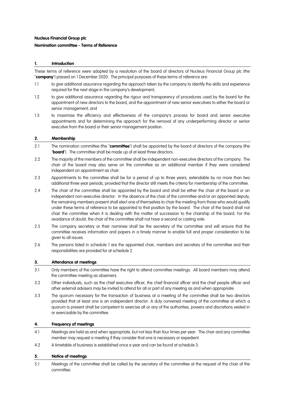## **Nucleus Financial Group plc**

## **Nomination committee - Terms of Reference**

## **1. Introduction**

These terms of reference were adopted by a resolution of the board of directors of Nucleus Financial Group plc (the "**company**") passed on 1 December 2020. The principal purposes of these terms of reference are:

- 1.1 to give additional assurance regarding the approach taken by the company to identify the skills and experience required for the next stage in the company's development;
- 1.2 to give additional assurance regarding the rigour and transparency of procedures used by the board for the appointment of new directors to the board, and the appointment of new senior executives to either the board or senior management; and
- 1.3 to maximise the efficiency and effectiveness of the company's process for board and senior executive appointments and for determining the approach for the removal of any underperforming director or senior executive from the board or their senior management position.

### **2. Membership**

- 2.1 The nomination committee (the "**committee**") shall be appointed by the board of directors of the company (the "**board**"). The committee shall be made up of at least three directors.
- 2.2 The majority of the members of the committee shall be independent non-executive directors of the company. The chair of the board may also serve on the committee as an additional member if they were considered independent on appointment as chair.
- 2.3 Appointments to the committee shall be for a period of up to three years, extendable by no more than two additional three year periods, provided that the director still meets the criteria for membership of the committee.
- 2.4 The chair of the committee shall be appointed by the board and shall be either the chair of the board or an independent non-executive director. In the absence of the chair of the committee and/or an appointed deputy, the remaining members present shall elect one of themselves to chair the meeting from those who would qualify under these terms of reference to be appointed to that position by the board. The chair of the board shall not chair the committee when it is dealing with the matter of succession to the chairship of the board. For the avoidance of doubt, the chair of the committee shall not have a second or casting vote.
- 2.5 The company secretary or their nominee shall be the secretary of the committee and will ensure that the committee receives information and papers in a timely manner to enable full and proper consideration to be given to all issues.
- 2.6 The persons listed in schedule 1 are the appointed chair, members and secretary of the committee and their responsibilities are provided for at schedule 2.

## **3. Attendance at meetings**

- 3.1 Only members of the committee have the right to attend committee meetings. All board members may attend the committee meeting as observers.
- 3.2 Other individuals, such as the chief executive officer, the chief financial officer and the chief people officer and other external advisers may be invited to attend for all or part of any meeting as and when appropriate.
- 3.3 The quorum necessary for the transaction of business at a meeting of the committee shall be two directors provided that at least one is an independent director. A duly convened meeting of the committee at which a quorum is present shall be competent to exercise all or any of the authorities, powers and discretions vested in or exercisable by the committee.

## **4. Frequency of meetings**

- 4.1 Meetings are held as and when appropriate, but not less than four times per year. The chair and any committee member may request a meeting if they consider that one is necessary or expedient.
- 4.2 A timetable of business is established once a year and can be found at schedule 3.

#### **5. Notice of meetings**

5.1 Meetings of the committee shall be called by the secretary of the committee at the request of the chair of the committee.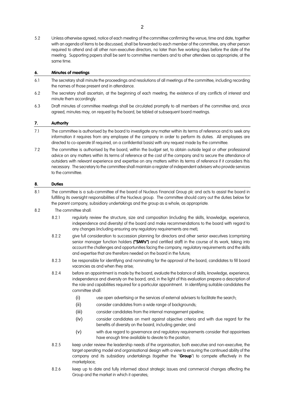5.2 Unless otherwise agreed, notice of each meeting of the committee confirming the venue, time and date, together with an agenda of items to be discussed, shall be forwarded to each member of the committee, any other person required to attend and all other non-executive directors, no later than five working days before the date of the meeting. Supporting papers shall be sent to committee members and to other attendees as appropriate, at the same time.

## **6. Minutes of meetings**

- 6.1 The secretary shall minute the proceedings and resolutions of all meetings of the committee, including recording the names of those present and in attendance.
- 6.2 The secretary shall ascertain, at the beginning of each meeting, the existence of any conflicts of interest and minute them accordingly.
- 6.3 Draft minutes of committee meetings shall be circulated promptly to all members of the committee and, once agreed, minutes may, on request by the board, be tabled at subsequent board meetings.

## **7. Authority**

- 7.1 The committee is authorised by the board to investigate any matter within its terms of reference and to seek any information it requires from any employee of the company in order to perform its duties. All employees are directed to co-operate (if required, on a confidential basis) with any request made by the committee.
- 7.2 The committee is authorised by the board, within the budget set, to obtain outside legal or other professional advice on any matters within its terms of reference at the cost of the company and to secure the attendance of outsiders with relevant experience and expertise on any matters within its terms of reference if it considers this necessary. The secretary to the committee shall maintain a register of independent advisers who provide services to the committee.

## **8. Duties**

- 8.1 The committee is a sub-committee of the board of Nucleus Financial Group plc and acts to assist the board in fulfilling its oversight responsibilities of the Nucleus group. The committee should carry out the duties below for the parent company, subsidiary undertakings and the group as a whole, as appropriate.
- 8.2 The committee shall:
	- 8.2.1 regularly review the structure, size and composition (including the skills, knowledge, experience, independence and diversity) of the board and make recommendations to the board with regard to any changes (including ensuring any regulatory requirements are met);
	- 8.2.2 give full consideration to succession planning for directors and other senior executives (comprising senior manager function holders **("SMFs")** and certified staff) in the course of its work, taking into account the challenges and opportunities facing the company, regulatory requirements and the skills and expertise that are therefore needed on the board in the future;
	- 8.2.3 be responsible for identifying and nominating for the approval of the board, candidates to fill board vacancies as and when they arise;
	- 8.2.4 before an appointment is made by the board, evaluate the balance of skills, knowledge, experience, independence and diversity on the board, and, in the light of this evaluation prepare a description of the role and capabilities required for a particular appointment. In identifying suitable candidates the committee shall:
		- (i) use open advertising or the services of external advisers to facilitate the search;
		- (ii) consider candidates from a wide range of backgrounds;
		- (iii) consider candidates from the internal management pipeline;
		- (iv) consider candidates on merit against objective criteria and with due regard for the benefits of diversity on the board, including gender; and
		- (v) with due regard to governance and regulatory requirements consider that appointees have enough time available to devote to the position;
	- 8.2.5 keep under review the leadership needs of the organisation, both executive and non-executive, the target operating model and organisational design with a view to ensuring the continued ability of the company and its subsidiary undertakings (together the "**Group**") to compete effectively in the marketplace;
	- 8.2.6 keep up to date and fully informed about strategic issues and commercial changes affecting the Group and the market in which it operates;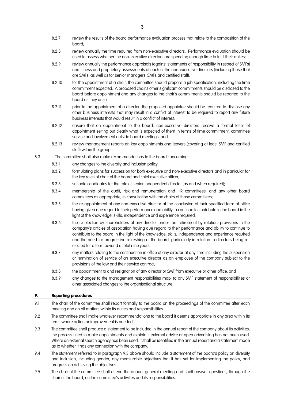- 8.2.7 review the results of the board performance evaluation process that relate to the composition of the board;
- 8.2.8 review annually the time required from non-executive directors. Performance evaluation should be used to assess whether the non-executive directors are spending enough time to fulfil their duties;
- 8.2.9 review annually the performance appraisals (against statements of responsibility in respect of SMFs) and fitness and proprietary assessments of each of the non-executive directors (including those that are SMFs) as well as for senior managers (SMFs and certified staff);
- 8.2.10 for the appointment of a chair, the committee should prepare a job specification, including the time commitment expected. A proposed chair's other significant commitments should be disclosed to the board before appointment and any changes to the chair's commitments should be reported to the board as they arise;
- 8.2.11 prior to the appointment of a director, the proposed appointee should be required to disclose any other business interests that may result in a conflict of interest to be required to report any future business interests that would result in a conflict of interest;
- 8.2.12 ensure that on appointment to the board, non-executive directors receive a formal letter of appointment setting out clearly what is expected of them in terms of time commitment, committee service and involvement outside board meetings; and
- 8.2.13 review management reports on key appointments and leavers (covering at least SMF and certified staff) within the group.
- 8.3 The committee shall also make recommendations to the board concerning:
	- 8.3.1 any changes to the diversity and inclusion policy;
	- 8.3.2 formulating plans for succession for both executive and non-executive directors and in particular for the key roles of chair of the board and chief executive officer;
	- 8.3.3 suitable candidates for the role of senior independent director (as and when required);
	- 8.3.4 membership of the audit, risk and remuneration and HR committees, and any other board committees as appropriate, in consultation with the chairs of those committees;
	- 8.3.5 the re-appointment of any non-executive director at the conclusion of their specified term of office having given due regard to their performance and ability to continue to contribute to the board in the light of the knowledge, skills, independence and experience required;
	- 8.3.6 the re-election by shareholders of any director under the 'retirement by rotation' provisions in the company's articles of association having due regard to their performance and ability to continue to contribute to the board in the light of the knowledge, skills, independence and experience required and the need for progressive refreshing of the board, particularly in relation to directors being reelected for a term beyond a total nine years;
	- 8.3.7 any matters relating to the continuation in office of any director at any time including the suspension or termination of service of an executive director as an employee of the company subject to the provisions of the law and their service contract;
	- 8.3.8 the appointment to and resignation of any director or SMF from executive or other office; and
	- 8.3.9 any changes to the management responsibilities map, to any SMF statement of responsibilities or other associated changes to the organisational structure.

## **9. Reporting procedures**

- 9.1 The chair of the committee shall report formally to the board on the proceedings of the committee after each meeting and on all matters within its duties and responsibilities.
- 9.2 The committee shall make whatever recommendations to the board it deems appropriate in any area within its remit where action or improvement is needed.
- 9.3 The committee shall produce a statement to be included in the annual report of the company about its activities, the process used to make appointments and explain if external advice or open advertising has not been used. Where an external search agency has been used, it shall be identified in the annual report and a statement made as to whether it has any connection with the company.
- 9.4 The statement referred to in paragraph 9.3 above should include a statement of the board's policy on diversity and inclusion, including gender, any measurable objectives that it has set for implementing the policy, and progress on achieving the objectives.
- 9.5 The chair of the committee shall attend the annual general meeting and shall answer questions, through the chair of the board, on the committee's activities and its responsibilities.